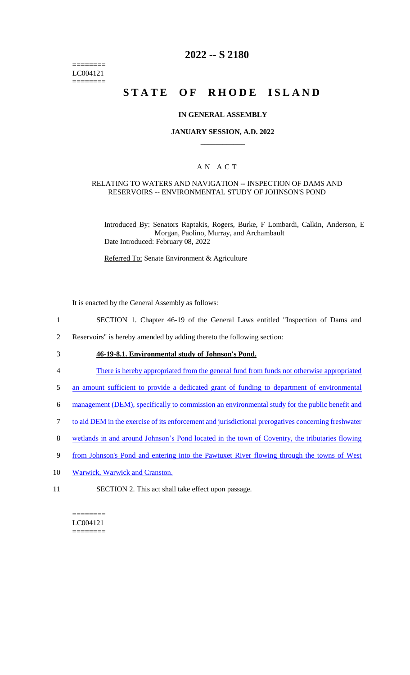======== LC004121 ========

# **2022 -- S 2180**

# **STATE OF RHODE ISLAND**

#### **IN GENERAL ASSEMBLY**

### **JANUARY SESSION, A.D. 2022 \_\_\_\_\_\_\_\_\_\_\_\_**

## A N A C T

#### RELATING TO WATERS AND NAVIGATION -- INSPECTION OF DAMS AND RESERVOIRS -- ENVIRONMENTAL STUDY OF JOHNSON'S POND

Introduced By: Senators Raptakis, Rogers, Burke, F Lombardi, Calkin, Anderson, E Morgan, Paolino, Murray, and Archambault Date Introduced: February 08, 2022

Referred To: Senate Environment & Agriculture

It is enacted by the General Assembly as follows:

- 1 SECTION 1. Chapter 46-19 of the General Laws entitled "Inspection of Dams and
- 2 Reservoirs" is hereby amended by adding thereto the following section:
- 3 **46-19-8.1. Environmental study of Johnson's Pond.**
- 4 There is hereby appropriated from the general fund from funds not otherwise appropriated
- 5 an amount sufficient to provide a dedicated grant of funding to department of environmental
- 6 management (DEM), specifically to commission an environmental study for the public benefit and
- 7 to aid DEM in the exercise of its enforcement and jurisdictional prerogatives concerning freshwater
- 8 wetlands in and around Johnson's Pond located in the town of Coventry, the tributaries flowing
- 9 from Johnson's Pond and entering into the Pawtuxet River flowing through the towns of West
- 10 Warwick, Warwick and Cranston.
- 11 SECTION 2. This act shall take effect upon passage.

 $=$ LC004121 ========